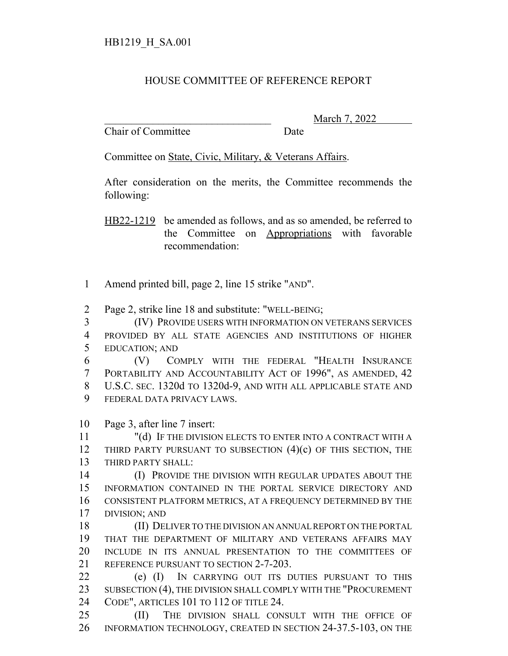## HOUSE COMMITTEE OF REFERENCE REPORT

Chair of Committee Date

\_\_\_\_\_\_\_\_\_\_\_\_\_\_\_\_\_\_\_\_\_\_\_\_\_\_\_\_\_\_\_ March 7, 2022

Committee on State, Civic, Military, & Veterans Affairs.

After consideration on the merits, the Committee recommends the following:

HB22-1219 be amended as follows, and as so amended, be referred to the Committee on Appropriations with favorable recommendation:

- Amend printed bill, page 2, line 15 strike "AND".
- Page 2, strike line 18 and substitute: "WELL-BEING;
- (IV) PROVIDE USERS WITH INFORMATION ON VETERANS SERVICES PROVIDED BY ALL STATE AGENCIES AND INSTITUTIONS OF HIGHER EDUCATION; AND
- (V) COMPLY WITH THE FEDERAL "HEALTH INSURANCE PORTABILITY AND ACCOUNTABILITY ACT OF 1996", AS AMENDED, 42 U.S.C. SEC. 1320d TO 1320d-9, AND WITH ALL APPLICABLE STATE AND FEDERAL DATA PRIVACY LAWS.
- Page 3, after line 7 insert:
- "(d) IF THE DIVISION ELECTS TO ENTER INTO A CONTRACT WITH A 12 THIRD PARTY PURSUANT TO SUBSECTION (4)(c) OF THIS SECTION, THE THIRD PARTY SHALL:
- (I) PROVIDE THE DIVISION WITH REGULAR UPDATES ABOUT THE INFORMATION CONTAINED IN THE PORTAL SERVICE DIRECTORY AND CONSISTENT PLATFORM METRICS, AT A FREQUENCY DETERMINED BY THE DIVISION; AND
- (II) DELIVER TO THE DIVISION AN ANNUAL REPORT ON THE PORTAL THAT THE DEPARTMENT OF MILITARY AND VETERANS AFFAIRS MAY INCLUDE IN ITS ANNUAL PRESENTATION TO THE COMMITTEES OF REFERENCE PURSUANT TO SECTION 2-7-203.
- (e) (I) IN CARRYING OUT ITS DUTIES PURSUANT TO THIS 23 SUBSECTION (4), THE DIVISION SHALL COMPLY WITH THE "PROCUREMENT CODE", ARTICLES 101 TO 112 OF TITLE 24.
- (II) THE DIVISION SHALL CONSULT WITH THE OFFICE OF INFORMATION TECHNOLOGY, CREATED IN SECTION 24-37.5-103, ON THE